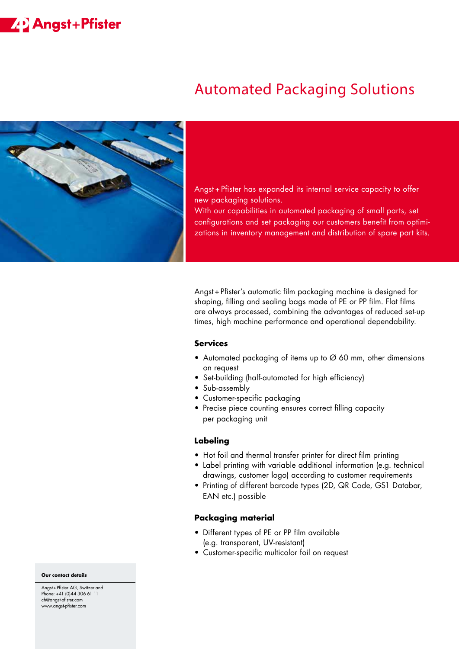# **22 Angst+Pfister**

# Automated Packaging Solutions



Angst + Pfister has expanded its internal service capacity to offer new packaging solutions.

With our capabilities in automated packaging of small parts, set configurations and set packaging our customers benefit from optimizations in inventory management and distribution of spare part kits.

Angst + Pfister's automatic film packaging machine is designed for shaping, filling and sealing bags made of PE or PP film. Flat films are always processed, combining the advantages of reduced set-up times, high machine performance and operational dependability.

## **Services**

- Automated packaging of items up to Ø 60 mm, other dimensions on request
- Set-building (half-automated for high efficiency)
- Sub-assembly
- Customer-specific packaging
- Precise piece counting ensures correct filling capacity per packaging unit

#### **Labeling**

- Hot foil and thermal transfer printer for direct film printing
- Label printing with variable additional information (e.g. technical drawings, customer logo) according to customer requirements
- Printing of different barcode types (2D, QR Code, GS1 Databar, EAN etc.) possible

### **Packaging material**

- Different types of PE or PP film available (e.g. transparent, UV-resistant)
- Customer-specific multicolor foil on request

#### **Our contact details**

Angst + Pfister AG, Switzerland Phone: +41 (0)44 306 61 11 ch@angst-pfister.com www.angst-pfister.com